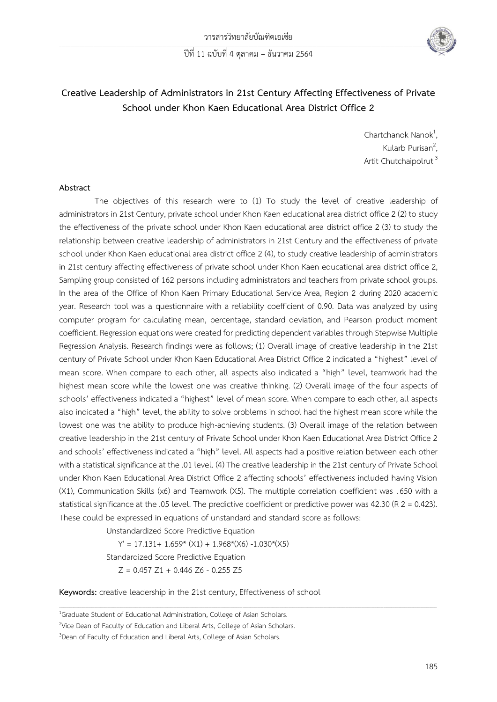

# **Creative Leadership of Administrators in 21st Century Affecting Effectiveness of Private School under Khon Kaen Educational Area District Office 2**

Chartchanok Nanok $1$ . , Kularb Purisan $^2$ , .<br>, Artit Chutchaipolrut<sup>3</sup>

#### **Abstract**

The objectives of this research were to (1) To study the level of creative leadership of administrators in 21st Century, private school under Khon Kaen educational area district office 2 (2) to study the effectiveness of the private school under Khon Kaen educational area district office 2 (3) to study the relationship between creative leadership of administrators in 21st Century and the effectiveness of private school under Khon Kaen educational area district office 2 (4), to study creative leadership of administrators in 21st century affecting effectiveness of private school under Khon Kaen educational area district office 2, Sampling group consisted of 162 persons including administrators and teachers from private school groups. In the area of the Office of Khon Kaen Primary Educational Service Area, Region 2 during 2020 academic year. Research tool was a questionnaire with a reliability coefficient of 0.90. Data was analyzed by using computer program for calculating mean, percentage, standard deviation, and Pearson product moment coefficient. Regression equations were created for predicting dependent variables through Stepwise Multiple Regression Analysis. Research findings were as follows; (1) Overall image of creative leadership in the 21st century of Private School under Khon Kaen Educational Area District Office 2 indicated a "highest" level of mean score. When compare to each other, all aspects also indicated a "high" level, teamwork had the highest mean score while the lowest one was creative thinking. (2) Overall image of the four aspects of schools' effectiveness indicated a "highest" level of mean score. When compare to each other, all aspects also indicated a "high" level, the ability to solve problems in school had the highest mean score while the lowest one was the ability to produce high-achieving students. (3) Overall image of the relation between creative leadership in the 21st century of Private School under Khon Kaen Educational Area District Office 2 and schools' effectiveness indicated a "high" level. All aspects had a positive relation between each other with a statistical significance at the .01 level. (4) The creative leadership in the 21st century of Private School under Khon Kaen Educational Area District Office 2 affecting schools' effectiveness included having Vision (X1), Communication Skills (x6) and Teamwork (X5). The multiple correlation coefficient was .650 with a statistical significance at the .05 level. The predictive coefficient or predictive power was 42.30 (R 2 = 0.423). These could be expressed in equations of unstandard and standard score as follows:

,一个人的人都是不是一个人的人,我们也不是一个人的人,我们也不是一个人的人,我们也不是一个人的人,我们也不是一个人的人,我们也不是一个人的人,我们也不是一个人的

Unstandardized Score Predictive Equation

 $Y' = 17.131+ 1.659* (X1) + 1.968*(X6) -1.030*(X5)$ Standardized Score Predictive Equation  $Z = 0.457 Z1 + 0.446 Z6 - 0.255 Z5$ 

**Keywords:** creative leadership in the 21st century, Effectiveness of school

<sup>&</sup>lt;sup>1</sup>Graduate Student of Educational Administration, College of Asian Scholars.

<sup>&</sup>lt;sup>2</sup>Vice Dean of Faculty of Education and Liberal Arts, College of Asian Scholars.

<sup>&</sup>lt;sup>3</sup>Dean of Faculty of Education and Liberal Arts, College of Asian Scholars.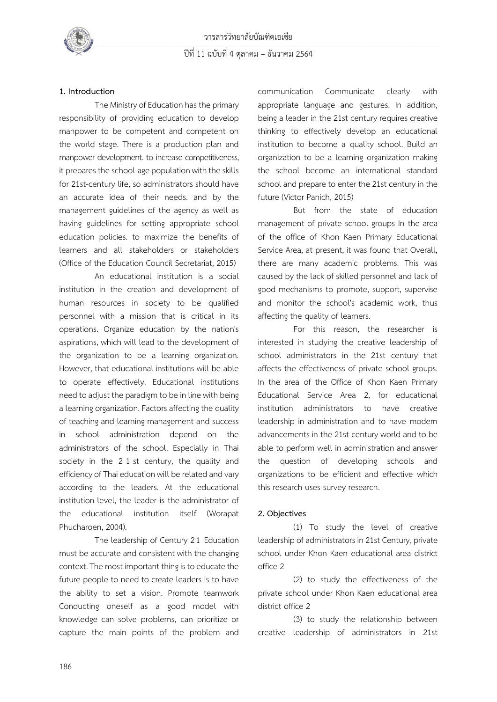

## **1. Introduction**

 The Ministry of Education has the primary responsibility of providing education to develop manpower to be competent and competent on the world stage. There is a production plan and manpower development. to increase competitiveness, it prepares the school-age population with the skills for 21st-century life, so administrators should have an accurate idea of their needs. and by the management guidelines of the agency as well as having guidelines for setting appropriate school education policies. to maximize the benefits of learners and all stakeholders or stakeholders (Office of the Education Council Secretariat, 2015)

 An educational institution is a social institution in the creation and development of human resources in society to be qualified personnel with a mission that is critical in its operations. Organize education by the nation's aspirations, which will lead to the development of the organization to be a learning organization. However, that educational institutions will be able to operate effectively. Educational institutions need to adjust the paradigm to be in line with being a learning organization. Factors affecting the quality of teaching and learning management and success in school administration depend on the administrators of the school. Especially in Thai society in the 2 1 st century, the quality and efficiency of Thai education will be related and vary according to the leaders. At the educational institution level, the leader is the administrator of the educational institution itself (Worapat Phucharoen, 2004).

 The leadership of Century 2 1 Education must be accurate and consistent with the changing context. The most important thing is to educate the future people to need to create leaders is to have the ability to set a vision. Promote teamwork Conducting oneself as a good model with knowledge can solve problems, can prioritize or capture the main points of the problem and communication Communicate clearly with appropriate language and gestures. In addition, being a leader in the 21st century requires creative thinking to effectively develop an educational institution to become a quality school. Build an organization to be a learning organization making the school become an international standard school and prepare to enter the 21st century in the future (Victor Panich, 2015)

 But from the state of education management of private school groups In the area of the office of Khon Kaen Primary Educational Service Area, at present, it was found that Overall, there are many academic problems. This was caused by the lack of skilled personnel and lack of good mechanisms to promote, support, supervise and monitor the school's academic work, thus affecting the quality of learners.

 For this reason, the researcher is interested in studying the creative leadership of school administrators in the 21st century that affects the effectiveness of private school groups. In the area of the Office of Khon Kaen Primary Educational Service Area 2, for educational institution administrators to have creative leadership in administration and to have modern advancements in the 21st-century world and to be able to perform well in administration and answer the question of developing schools and organizations to be efficient and effective which this research uses survey research.

### **2. Objectives**

 (1) To study the level of creative leadership of administrators in 21st Century, private school under Khon Kaen educational area district office 2

 (2) to study the effectiveness of the private school under Khon Kaen educational area district office 2

 (3) to study the relationship between creative leadership of administrators in 21st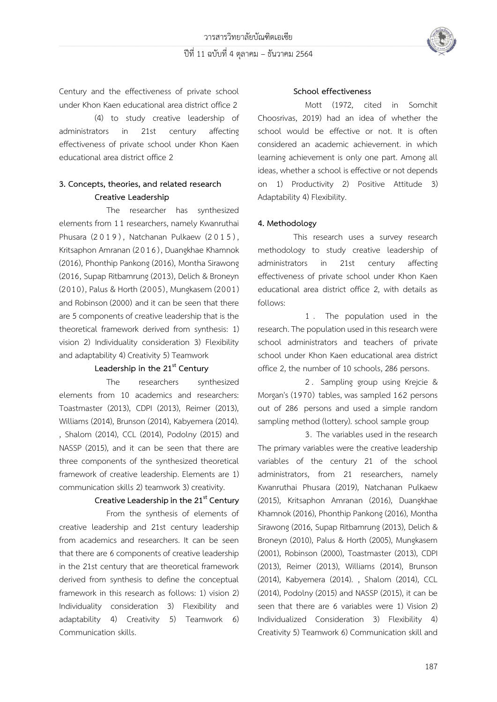

Century and the effectiveness of private school under Khon Kaen educational area district office 2

 (4) to study creative leadership of administrators in 21st century affecting effectiveness of private school under Khon Kaen educational area district office 2

## **3. Concepts, theories, and related research Creative Leadership**

The researcher has synthesized elements from 11 researchers, namely Kwanruthai Phusara (2019), Natchanan Pulkaew (2015), Kritsaphon Amranan (2016) , Duangkhae Khamnok (2016), Phonthip Pankong (2016), Montha Sirawong (2016, Supap Ritbamrung (2013), Delich & Broneyn (2010), Palus & Horth (2005), Mungkasem (2001) and Robinson (2000) and it can be seen that there are 5 components of creative leadership that is the theoretical framework derived from synthesis: 1) vision 2) Individuality consideration 3) Flexibility and adaptability 4) Creativity 5) Teamwork

### **Leadership in the 21st Century**

The researchers synthesized elements from 10 academics and researchers: Toastmaster (2013), CDPI (2013), Reimer (2013), Williams (2014), Brunson (2014), Kabyemera (2014). , Shalom (2014), CCL (2014), Podolny (2015) and NASSP (2015), and it can be seen that there are three components of the synthesized theoretical framework of creative leadership. Elements are 1) communication skills 2) teamwork 3) creativity.

## **Creative Leadership in the 21st Century**

 From the synthesis of elements of creative leadership and 21st century leadership from academics and researchers. It can be seen that there are 6 components of creative leadership in the 21st century that are theoretical framework derived from synthesis to define the conceptual framework in this research as follows: 1) vision 2) Individuality consideration 3) Flexibility and adaptability 4) Creativity 5) Teamwork 6) Communication skills.

#### **School effectiveness**

 Mott (1972, cited in Somchit Choosrivas, 2019) had an idea of whether the school would be effective or not. It is often considered an academic achievement. in which learning achievement is only one part. Among all ideas, whether a school is effective or not depends on 1) Productivity 2) Positive Attitude 3) Adaptability 4) Flexibility.

## **4. Methodology**

 This research uses a survey research methodology to study creative leadership of administrators in 21st century affecting effectiveness of private school under Khon Kaen educational area district office 2, with details as follows:

 1 . The population used in the research. The population used in this research were school administrators and teachers of private school under Khon Kaen educational area district office 2, the number of 10 schools, 286 persons.

 2 . Sampling group using Krejcie & Morgan's (1970) tables, was sampled 162 persons out of 286 persons and used a simple random sampling method (lottery). school sample group

 3. The variables used in the research The primary variables were the creative leadership variables of the century 21 of the school administrators, from 21 researchers, namely Kwanruthai Phusara (2019), Natchanan Pulkaew (2015), Kritsaphon Amranan (2016), Duangkhae Khamnok (2016), Phonthip Pankong (2016), Montha Sirawong (2016, Supap Ritbamrung (2013), Delich & Broneyn (2010), Palus & Horth (2005), Mungkasem (2001), Robinson (2000), Toastmaster (2013), CDPI (2013), Reimer (2013), Williams (2014), Brunson (2014), Kabyemera (2014). , Shalom (2014), CCL (2014), Podolny (2015) and NASSP (2015), it can be seen that there are 6 variables were 1) Vision 2) Individualized Consideration 3) Flexibility 4) Creativity 5) Teamwork 6) Communication skill and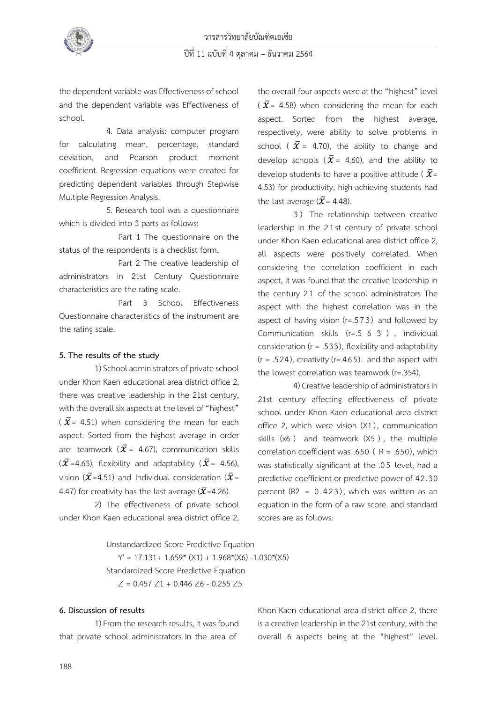

the dependent variable was Effectiveness of school and the dependent variable was Effectiveness of school.

4. Data analysis: computer program for calculating mean, percentage, standard deviation, and Pearson product moment coefficient. Regression equations were created for predicting dependent variables through Stepwise Multiple Regression Analysis.

 5. Research tool was a questionnaire which is divided into 3 parts as follows:

 Part 1 The questionnaire on the status of the respondents is a checklist form.

 Part 2 The creative leadership of administrators in 21st Century Questionnaire characteristics are the rating scale.

 Part 3 School Effectiveness Questionnaire characteristics of the instrument are the rating scale.

### **5. The results of the study**

 1) School administrators of private school under Khon Kaen educational area district office 2, there was creative leadership in the 21st century, with the overall six aspects at the level of "highest" ( $\bar{x}$ = 4.51) when considering the mean for each aspect. Sorted from the highest average in order are: teamwork ( $\bar{x}$  = 4.67), communication skills  $(\bar{\mathcal{X}}=4.63)$ , flexibility and adaptability  $(\bar{\mathcal{X}}=4.56)$ , vision ( $\bar{x}$ =4.51) and Individual consideration ( $\bar{x}$ = 4.47) for creativity has the last average ( $\bar{x}$ =4.26).

 2) The effectiveness of private school under Khon Kaen educational area district office 2, the overall four aspects were at the "highest" level ( $\bar{x}$ = 4.58) when considering the mean for each aspect. Sorted from the highest average, respectively, were ability to solve problems in school (  $\bar{x}$  = 4.70), the ability to change and develop schools ( $\bar{x}$  = 4.60), and the ability to develop students to have a positive attitude ( $\bar{x}$ = 4.53) for productivity, high-achieving students had the last average ( $\bar{x}$ = 4.48).

 3 ) The relationship between creative leadership in the 2 1st century of private school under Khon Kaen educational area district office 2, all aspects were positively correlated. When considering the correlation coefficient in each aspect, it was found that the creative leadership in the century 2 1 of the school administrators The aspect with the highest correlation was in the aspect of having vision (r=.573) and followed by Communication skills  $(r=.5 6 3)$ , individual consideration ( $r = .533$ ), flexibility and adaptability  $(r = .524)$ , creativity (r=.465). and the aspect with the lowest correlation was teamwork (r=.354).

 4) Creative leadership of administrators in 21st century affecting effectiveness of private school under Khon Kaen educational area district office 2, which were vision (X1), communication skills (x6 ) and teamwork (X5 ) , the multiple correlation coefficient was .650 ( $R = .650$ ), which was statistically significant at the .0 5 level, had a predictive coefficient or predictive power of 42.30 percent (R2 =  $0.423$ ), which was written as an equation in the form of a raw score. and standard scores are as follows:

Unstandardized Score Predictive Equation  $Y' = 17.131+ 1.659* (X1) + 1.968*(X6) -1.030*(X5)$ Standardized Score Predictive Equation

 $Z = 0.457 Z1 + 0.446 Z6 - 0.255 Z5$ 

### **6. Discussion of results**

 1) From the research results, it was found that private school administrators In the area of

Khon Kaen educational area district office 2, there is a creative leadership in the 21st century, with the overall 6 aspects being at the "highest" level.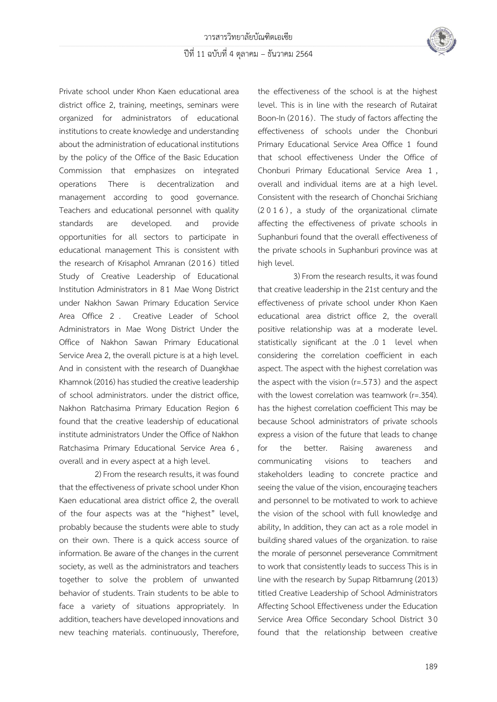

Private school under Khon Kaen educational area district office 2, training, meetings, seminars were organized for administrators of educational institutions to create knowledge and understanding about the administration of educational institutions by the policy of the Office of the Basic Education Commission that emphasizes on integrated operations There is decentralization and management according to good governance. Teachers and educational personnel with quality standards are developed. and provide opportunities for all sectors to participate in educational management This is consistent with the research of Krisaphol Amranan (2016) titled Study of Creative Leadership of Educational Institution Administrators in 8 1 Mae Wong District under Nakhon Sawan Primary Education Service Area Office 2 . Creative Leader of School Administrators in Mae Wong District Under the Office of Nakhon Sawan Primary Educational Service Area 2, the overall picture is at a high level. And in consistent with the research of Duangkhae Khamnok (2016) has studied the creative leadership of school administrators. under the district office, Nakhon Ratchasima Primary Education Region 6 found that the creative leadership of educational institute administrators Under the Office of Nakhon Ratchasima Primary Educational Service Area 6 , overall and in every aspect at a high level.

 2) From the research results, it was found that the effectiveness of private school under Khon Kaen educational area district office 2, the overall of the four aspects was at the "highest" level, probably because the students were able to study on their own. There is a quick access source of information. Be aware of the changes in the current society, as well as the administrators and teachers together to solve the problem of unwanted behavior of students. Train students to be able to face a variety of situations appropriately. In addition, teachers have developed innovations and new teaching materials. continuously, Therefore,

the effectiveness of the school is at the highest level. This is in line with the research of Rutairat Boon-In (2016). The study of factors affecting the effectiveness of schools under the Chonburi Primary Educational Service Area Office 1 found that school effectiveness Under the Office of Chonburi Primary Educational Service Area 1 , overall and individual items are at a high level. Consistent with the research of Chonchai Srichiang (2016) , a study of the organizational climate affecting the effectiveness of private schools in Suphanburi found that the overall effectiveness of the private schools in Suphanburi province was at high level.

 3) From the research results, it was found that creative leadership in the 21st century and the effectiveness of private school under Khon Kaen educational area district office 2, the overall positive relationship was at a moderate level. statistically significant at the .0 1 level when considering the correlation coefficient in each aspect. The aspect with the highest correlation was the aspect with the vision (r=.573) and the aspect with the lowest correlation was teamwork (r=.354). has the highest correlation coefficient This may be because School administrators of private schools express a vision of the future that leads to change for the better. Raising awareness and communicating visions to teachers and stakeholders leading to concrete practice and seeing the value of the vision, encouraging teachers and personnel to be motivated to work to achieve the vision of the school with full knowledge and ability, In addition, they can act as a role model in building shared values of the organization. to raise the morale of personnel perseverance Commitment to work that consistently leads to success This is in line with the research by Supap Ritbamrung (2013) titled Creative Leadership of School Administrators Affecting School Effectiveness under the Education Service Area Office Secondary School District 3 0 found that the relationship between creative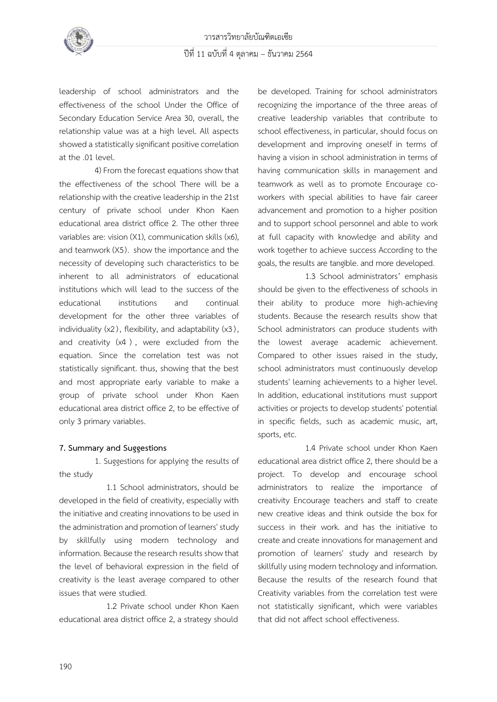

leadership of school administrators and the effectiveness of the school Under the Office of Secondary Education Service Area 30, overall, the relationship value was at a high level. All aspects showed a statistically significant positive correlation at the .01 level.

 4) From the forecast equations show that the effectiveness of the school There will be a relationship with the creative leadership in the 21st century of private school under Khon Kaen educational area district office 2. The other three variables are: vision (X1), communication skills (x6), and teamwork (X5). show the importance and the necessity of developing such characteristics to be inherent to all administrators of educational institutions which will lead to the success of the educational institutions and continual development for the other three variables of individuality  $(x2)$ , flexibility, and adaptability  $(x3)$ , and creativity (x4 ) , were excluded from the equation. Since the correlation test was not statistically significant. thus, showing that the best and most appropriate early variable to make a group of private school under Khon Kaen educational area district office 2, to be effective of only 3 primary variables.

### **7. Summary and Suggestions**

 1. Suggestions for applying the results of the study

 1.1 School administrators, should be developed in the field of creativity, especially with the initiative and creating innovations to be used in the administration and promotion of learners' study by skillfully using modern technology and information. Because the research results show that the level of behavioral expression in the field of creativity is the least average compared to other issues that were studied.

 1.2 Private school under Khon Kaen educational area district office 2, a strategy should be developed. Training for school administrators recognizing the importance of the three areas of creative leadership variables that contribute to school effectiveness, in particular, should focus on development and improving oneself in terms of having a vision in school administration in terms of having communication skills in management and teamwork as well as to promote Encourage coworkers with special abilities to have fair career advancement and promotion to a higher position and to support school personnel and able to work at full capacity with knowledge and ability and work together to achieve success According to the goals, the results are tangible. and more developed.

 1.3 School administrators' emphasis should be given to the effectiveness of schools in their ability to produce more high-achieving students. Because the research results show that School administrators can produce students with the lowest average academic achievement. Compared to other issues raised in the study, school administrators must continuously develop students' learning achievements to a higher level. In addition, educational institutions must support activities or projects to develop students' potential in specific fields, such as academic music, art, sports, etc.

 1.4 Private school under Khon Kaen educational area district office 2, there should be a project. To develop and encourage school administrators to realize the importance of creativity Encourage teachers and staff to create new creative ideas and think outside the box for success in their work. and has the initiative to create and create innovations for management and promotion of learners' study and research by skillfully using modern technology and information. Because the results of the research found that Creativity variables from the correlation test were not statistically significant, which were variables that did not affect school effectiveness.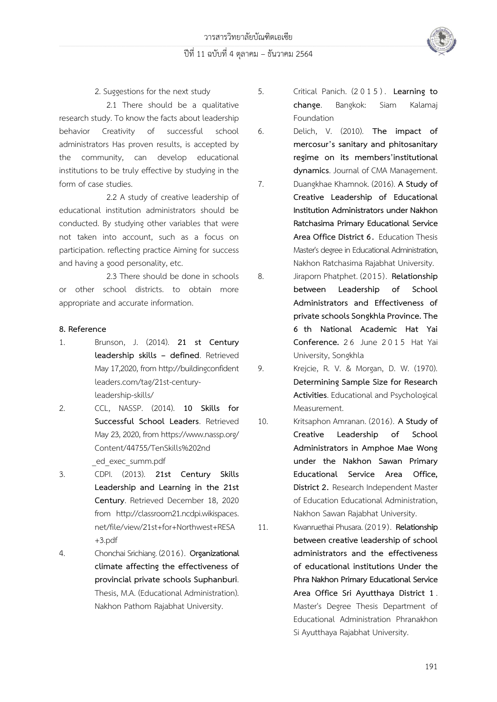

2. Suggestions for the next study

 2.1 There should be a qualitative research study. To know the facts about leadership behavior Creativity of successful school administrators Has proven results, is accepted by the community, can develop educational institutions to be truly effective by studying in the form of case studies.

 2.2 A study of creative leadership of educational institution administrators should be conducted. By studying other variables that were not taken into account, such as a focus on participation. reflecting practice Aiming for success and having a good personality, etc.

 2.3 There should be done in schools or other school districts. to obtain more appropriate and accurate information.

## **8. Reference**

- 1. Brunson, J. (2014). **21 st Century leadership skills – defined**. Retrieved May 17,2020, from http://buildingconfident leaders.com/tag/21st-centuryleadership-skills/
- 2. CCL, NASSP. (2014). **10 Skills for Successful School Leaders**. Retrieved May 23, 2020, from https://www.nassp.org/ Content/44755/TenSkills%202nd \_ed\_exec\_summ.pdf
- 3. CDPI. (2013). **21st Century Skills Leadership and Learning in the 21st Century**. Retrieved December 18, 2020 from http://classroom21.ncdpi.wikispaces. net/file/view/21st+for+Northwest+RESA +3.pdf
- 4. Chonchai Srichiang. (2016). **Organizational climate affecting the effectiveness of provincial private schools Suphanburi**. Thesis, M.A. (Educational Administration). Nakhon Pathom Rajabhat University.

5. Critical Panich. (2 0 1 5 ) . **Learning to change**. Bangkok: Siam Kalamaj Foundation

6. Delich, V. (2010). **The impact of mercosur's sanitary and phitosanitary regime on its members'institutional dynamics**. Journal of CMA Management.

7. Duangkhae Khamnok. (2016). **A Study of Creative Leadership of Educational Institution Administrators under Nakhon Ratchasima Primary Educational Service Area Office District 6.** Education Thesis Master's degree in Educational Administration, Nakhon Ratchasima Rajabhat University.

8. Jiraporn Phatphet. (2015). **Relationship between Leadership of School Administrators and Effectiveness of private schools Songkhla Province. The 6 th National Academic Hat Yai Conference.** 2 6 June 2015 Hat Yai University, Songkhla

9. Krejcie, R. V. & Morgan, D. W. (1970). **Determining Sample Size for Research Activities**. Educational and Psychological Measurement.

- 10. Kritsaphon Amranan. (2016). **A Study of Creative Leadership of School Administrators in Amphoe Mae Wong under the Nakhon Sawan Primary Educational Service Area Office, District 2.** Research Independent Master of Education Educational Administration, Nakhon Sawan Rajabhat University.
- 11. Kwanruethai Phusara. (2019). **Relationship between creative leadership of school administrators and the effectiveness of educational institutions Under the Phra Nakhon Primary Educational Service Area Office Sri Ayutthaya District 1**. Master's Degree Thesis Department of Educational Administration Phranakhon Si Ayutthaya Rajabhat University.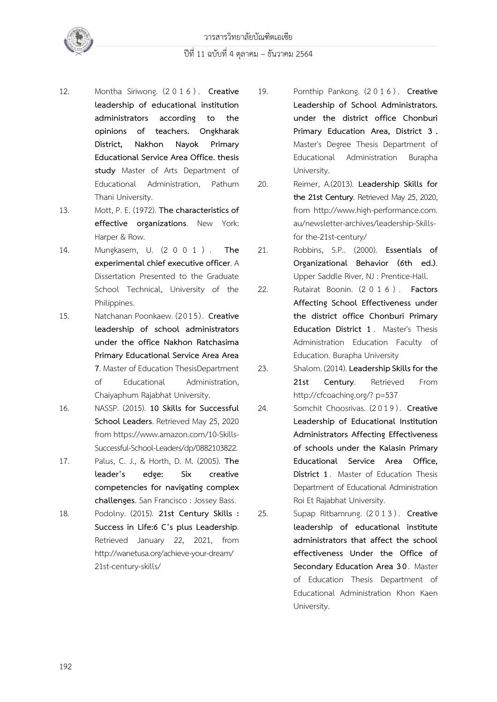

- 12. Montha Siriwong. (2 0 1 6 ) . **Creative leadership of educational institution administrators according to the opinions of teachers. Ongkharak District, Nakhon Nayok Primary Educational Service Area Office. thesis study** Master of Arts Department of Educational Administration, Pathum Thani University.
- 13. Mott, P. E. (1972). **The characteristics of effective organizations**. New York: Harper & Row.
- 14. Mungkasem, U. (2 0 0 1 ) . **The experimental chief executive officer**. A Dissertation Presented to the Graduate School Technical, University of the Philippines.
- 15. Natchanan Poonkaew. (2015). **Creative leadership of school administrators under the office Nakhon Ratchasima Primary Educational Service Area Area 7**. Master of Education ThesisDepartment of Educational Administration, Chaiyaphum Rajabhat University.
- 16. NASSP. (2015). **10 Skills for Successful School Leaders**. Retrieved May 25, 2020 from https://www.amazon.com/10-Skills-Successful-School-Leaders/dp/0882103822.
- 17. Palus, C. J., & Horth, D. M. (2005). **The leader's edge: Six creative competencies for navigating complex challenges**. San Francisco : Jossey Bass.
- 18. Podolny. (2015). **21st Century Skills : Success in Life:6 C's plus Leadership**. Retrieved January 22, 2021, from http://wanetusa.org/achieve-your-dream/ 21st-century-skills/
- 19. Pornthip Pankong. (2 0 1 6 ) . **Creative Leadership of School Administrators. under the district office Chonburi Primary Education Area, District 3 .** Master's Degree Thesis Department of Educational Administration Burapha University.
- 20. Reimer, A.(2013). **Leadership Skills for the 21st Century**. Retrieved May 25, 2020, from http://www.high-performance.com. au/newsletter-archives/leadership-Skillsfor the-21st-century/
- 21. Robbins, S.P.. (2000). **Essentials of Organizational Behavior (6th ed.)**. Upper Saddle River, NJ : Prentice-Hall.
- 22. Rutairat Boonin. (2 0 1 6 ) . **Factors Affecting School Effectiveness under the district office Chonburi Primary Education District 1** . Master's Thesis Administration Education Faculty of Education. Burapha University
- 23. Shalom. (2014). **Leadership Skills for the**  21st **Century**. Retrieved From http://cfcoaching.org/? p=537
- 24. Somchit Choosrivas. (2 0 1 9 ) . **Creative Leadership of Educational Institution Administrators Affecting Effectiveness of schools under the Kalasin Primary Educational Service Area Office, District 1**. Master of Education Thesis Department of Educational Administration Roi Et Rajabhat University.
- 25. Supap Ritbamrung. (2 0 1 3 ) . **Creative leadership of educational institute administrators that affect the school effectiveness Under the Office of Secondary Education Area 30**. Master of Education Thesis Department of Educational Administration Khon Kaen University.